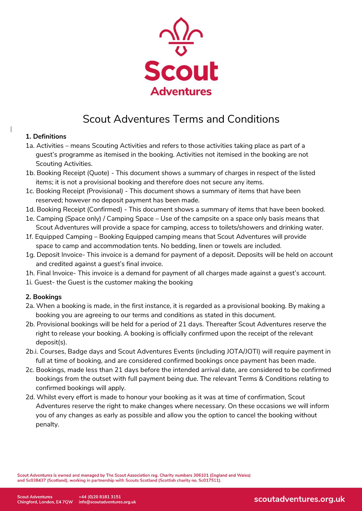

# Scout Adventures Terms and Conditions

## **1. Definitions**

 $\overline{\phantom{a}}$ 

- 1a. Activities means Scouting Activities and refers to those activities taking place as part of a guest's programme as itemised in the booking. Activities not itemised in the booking are not Scouting Activities.
- 1b. Booking Receipt (Quote) This document shows a summary of charges in respect of the listed items; it is not a provisional booking and therefore does not secure any items.
- 1c. Booking Receipt *(*Provisional*) -* This document shows a summary of items that have been reserved; however no deposit payment has been made.
- 1d. Booking Receipt (Confirmed) This document shows a summary of items that have been booked.
- 1e. Camping (Space only) / Camping Space Use of the campsite on a space only basis means that Scout Adventures will provide a space for camping, access to toilets/showers and drinking water.
- 1f. Equipped Camping Booking Equipped camping means that Scout Adventures will provide space to camp and accommodation tents. No bedding, linen or towels are included.
- 1g. Deposit Invoice- This invoice is a demand for payment of a deposit. Deposits will be held on account and credited against a guest's final invoice.
- 1h. Final Invoice- This invoice is a demand for payment of all charges made against a guest's account.
- 1i. Guest*-* the Guest is the customer making the booking

## **2. Bookings**

- 2a. When a booking is made, in the first instance, it is regarded as a provisional booking. By making a booking you are agreeing to our terms and conditions as stated in this document.
- 2b. Provisional bookings will be held for a period of 21 days. Thereafter Scout Adventures reserve the right to release your booking. A booking is officially confirmed upon the receipt of the relevant deposit(s).
- 2b.i. Courses, Badge days and Scout Adventures Events (including JOTA/JOTI) will require payment in full at time of booking, and are considered confirmed bookings once payment has been made.
- 2c. Bookings, made less than 21 days before the intended arrival date, are considered to be confirmed bookings from the outset with full payment being due. The relevant Terms & Conditions relating to confirmed bookings will apply.
- 2d. Whilst every effort is made to honour your booking as it was at time of confirmation, Scout Adventures reserve the right to make changes where necessary. On these occasions we will inform you of any changes as early as possible and allow you the option to cancel the booking without penalty.

Scout Adventures is owned and managed by The Scout Association reg. Charity numbers 306101 (England and Wales) and Sc038437 (Scotland), working in partnership with Scouts Scotland (Scottish charity no. Sc017511).

scoutadventures.org.uk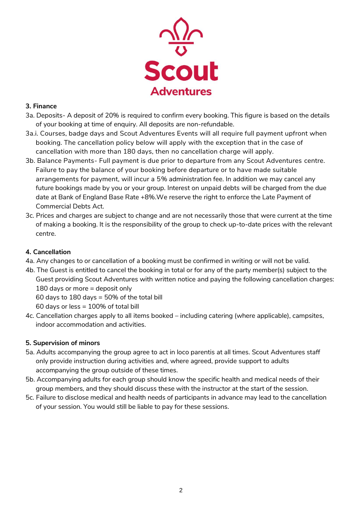

## **3. Finance**

- 3a. Deposits- A deposit of 20% is required to confirm every booking. This figure is based on the details of your booking at time of enquiry. All deposits are non-refundable.
- 3a.i. Courses, badge days and Scout Adventures Events will all require full payment upfront when booking. The cancellation policy below will apply with the exception that in the case of cancellation with more than 180 days, then no cancellation charge will apply.
- 3b. Balance Payments- Full payment is due prior to departure from any Scout Adventures centre. Failure to pay the balance of your booking before departure or to have made suitable arrangements for payment, will incur a 5% administration fee. In addition we may cancel any future bookings made by you or your group. Interest on unpaid debts will be charged from the due date at Bank of England Base Rate +8%.We reserve the right to enforce the Late Payment of Commercial Debts Act.
- 3c. Prices and charges are subject to change and are not necessarily those that were current at the time of making a booking. It is the responsibility of the group to check up-to-date prices with the relevant centre.

## **4. Cancellation**

- 4a. Any changes to or cancellation of a booking must be confirmed in writing or will not be valid.
- 4b. The Guest is entitled to cancel the booking in total or for any of the party member(s) subject to the Guest providing Scout Adventures with written notice and paying the following cancellation charges: 180 days or more = deposit only 60 days to 180 days = 50% of the total bill

60 days or less = 100% of total bill

4c. Cancellation charges apply to all items booked – including catering (where applicable), campsites, indoor accommodation and activities.

# **5. Supervision of minors**

- 5a. Adults accompanying the group agree to act in loco parentis at all times. Scout Adventures staff only provide instruction during activities and, where agreed, provide support to adults accompanying the group outside of these times.
- 5b. Accompanying adults for each group should know the specific health and medical needs of their group members, and they should discuss these with the instructor at the start of the session.
- 5c. Failure to disclose medical and health needs of participants in advance may lead to the cancellation of your session. You would still be liable to pay for these sessions.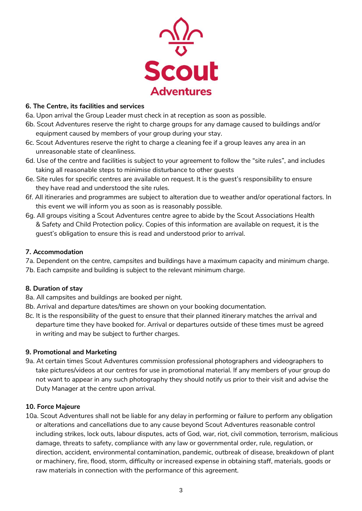

#### **6. The Centre, its facilities and services**

- 6a. Upon arrival the Group Leader must check in at reception as soon as possible.
- 6b. Scout Adventures reserve the right to charge groups for any damage caused to buildings and/or equipment caused by members of your group during your stay.
- 6c. Scout Adventures reserve the right to charge a cleaning fee if a group leaves any area in an unreasonable state of cleanliness.
- 6d. Use of the centre and facilities is subject to your agreement to follow the "site rules", and includes taking all reasonable steps to minimise disturbance to other guests
- 6e. Site rules for specific centres are available on request. It is the guest's responsibility to ensure they have read and understood the site rules.
- 6f. All itineraries and programmes are subject to alteration due to weather and/or operational factors. In this event we will inform you as soon as is reasonably possible.
- 6g. All groups visiting a Scout Adventures centre agree to abide by the Scout Associations Health & Safety and Child Protection policy. Copies of this information are available on request, it is the guest's obligation to ensure this is read and understood prior to arrival.

#### **7. Accommodation**

- 7a. Dependent on the centre, campsites and buildings have a maximum capacity and minimum charge.
- 7b. Each campsite and building is subject to the relevant minimum charge.

## **8. Duration of stay**

- 8a. All campsites and buildings are booked per night.
- 8b. Arrival and departure dates/times are shown on your booking documentation.
- 8c. It is the responsibility of the guest to ensure that their planned itinerary matches the arrival and departure time they have booked for. Arrival or departures outside of these times must be agreed in writing and may be subject to further charges.

#### **9. Promotional and Marketing**

9a. At certain times Scout Adventures commission professional photographers and videographers to take pictures/videos at our centres for use in promotional material. If any members of your group do not want to appear in any such photography they should notify us prior to their visit and advise the Duty Manager at the centre upon arrival.

#### **10. Force Majeure**

10a. Scout Adventures shall not be liable for any delay in performing or failure to perform any obligation or alterations and cancellations due to any cause beyond Scout Adventures reasonable control including strikes, lock outs, labour disputes, acts of God, war, riot, civil commotion, terrorism, malicious damage, threats to safety, compliance with any law or governmental order, rule, regulation, or direction, accident, environmental contamination, pandemic, outbreak of disease, breakdown of plant or machinery, fire, flood, storm, difficulty or increased expense in obtaining staff, materials, goods or raw materials in connection with the performance of this agreement.